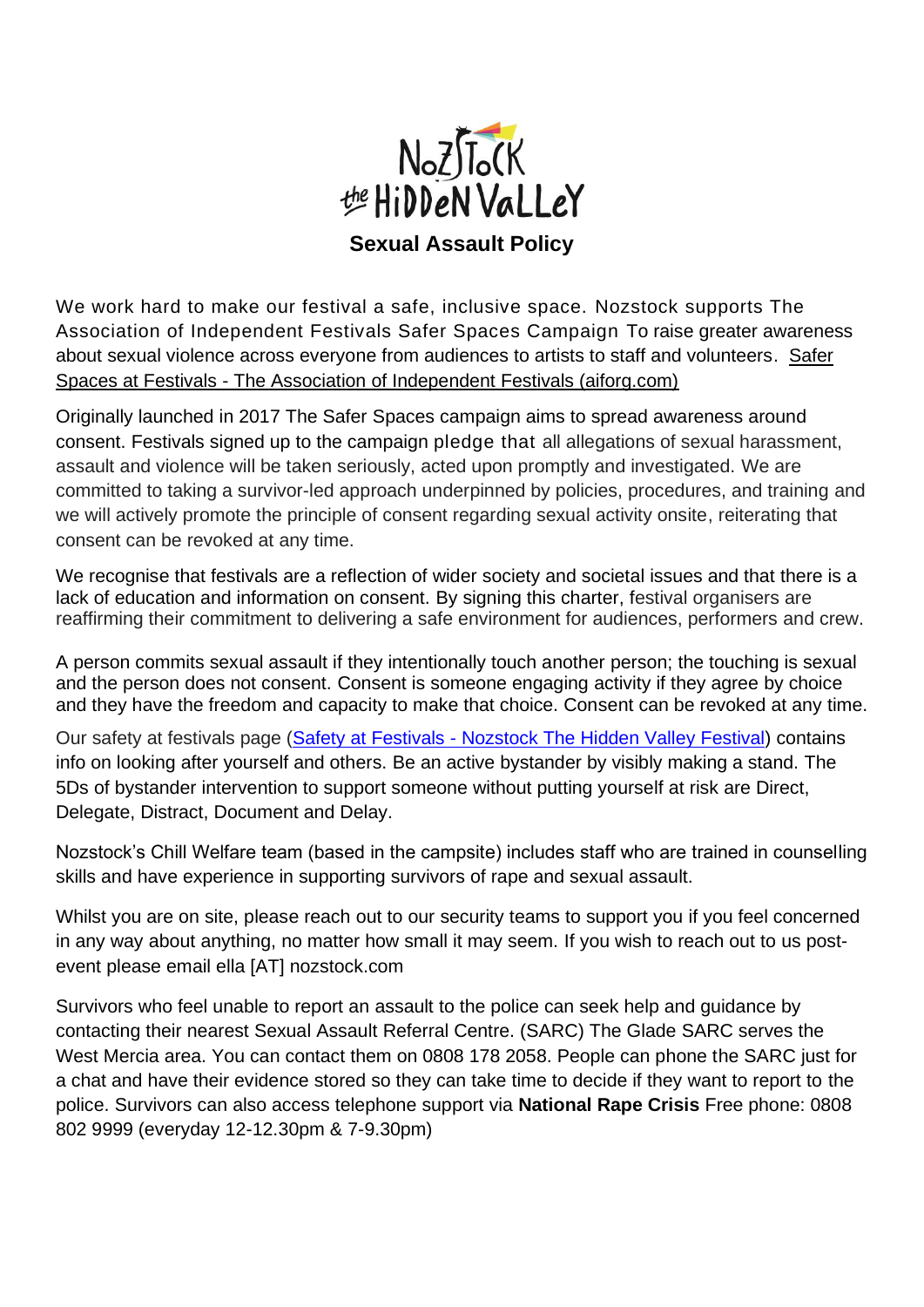

We work hard to make our festival a safe, inclusive space. Nozstock supports The Association of Independent Festivals Safer Spaces Campaign To raise greater awareness about sexual violence across everyone from audiences to artists to staff and volunteers. [Safer](https://aiforg.com/initiatives/safer-spaces/)  Spaces at Festivals - [The Association of Independent Festivals \(aiforg.com\)](https://aiforg.com/initiatives/safer-spaces/)

Originally launched in 2017 The Safer Spaces campaign aims to spread awareness around consent. Festivals signed up to the campaign pledge that all allegations of sexual harassment, assault and violence will be taken seriously, acted upon promptly and investigated. We are committed to taking a survivor-led approach underpinned by policies, procedures, and training and we will actively promote the principle of consent regarding sexual activity onsite, reiterating that consent can be revoked at any time.

We recognise that festivals are a reflection of wider society and societal issues and that there is a lack of education and information on consent. By signing this charter, festival organisers are reaffirming their commitment to delivering a safe environment for audiences, performers and crew.

A person commits sexual assault if they intentionally touch another person; the touching is sexual and the person does not consent. Consent is someone engaging activity if they agree by choice and they have the freedom and capacity to make that choice. Consent can be revoked at any time.

Our safety at festivals page (Safety at Festivals - [Nozstock The Hidden Valley Festival\)](https://nozstock.com/info/safety-at-festivals/) contains info on looking after yourself and others. Be an active bystander by visibly making a stand. The 5Ds of bystander intervention to support someone without putting yourself at risk are Direct, Delegate, Distract, Document and Delay.

Nozstock's Chill Welfare team (based in the campsite) includes staff who are trained in counselling skills and have experience in supporting survivors of rape and sexual assault.

Whilst you are on site, please reach out to our security teams to support you if you feel concerned in any way about anything, no matter how small it may seem. If you wish to reach out to us postevent please email ella [AT] nozstock.com

Survivors who feel unable to report an assault to the police can seek help and guidance by contacting their nearest Sexual Assault Referral Centre. (SARC) The Glade SARC serves the West Mercia area. You can contact them on 0808 178 2058. People can phone the SARC just for a chat and have their evidence stored so they can take time to decide if they want to report to the police. Survivors can also access telephone support via **National Rape Crisis** Free phone: 0808 802 9999 (everyday 12-12.30pm & 7-9.30pm)